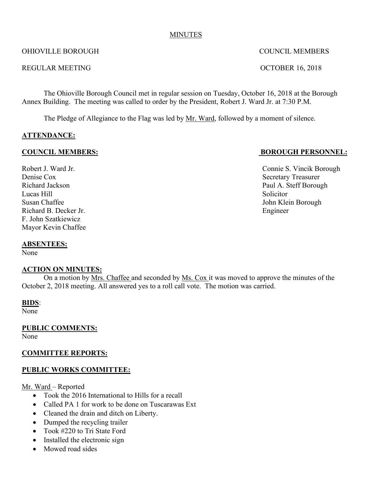#### MINUTES

#### OHIOVILLE BOROUGH COUNCIL MEMBERS

#### REGULAR MEETING CONTROLLAR MEETING

The Ohioville Borough Council met in regular session on Tuesday, October 16, 2018 at the Borough Annex Building. The meeting was called to order by the President, Robert J. Ward Jr. at 7:30 P.M.

The Pledge of Allegiance to the Flag was led by Mr. Ward, followed by a moment of silence.

## **ATTENDANCE:**

#### **COUNCIL MEMBERS: BOROUGH PERSONNEL:**

Denise Cox Secretary Treasurer Lucas Hill Solicitor Susan Chaffee John Klein Borough Richard B. Decker Jr. Engineer F. John Szatkiewicz Mayor Kevin Chaffee

#### **ABSENTEES:**

None

#### **ACTION ON MINUTES:**

On a motion by Mrs. Chaffee and seconded by Ms. Cox it was moved to approve the minutes of the October 2, 2018 meeting. All answered yes to a roll call vote. The motion was carried.

#### **BIDS**:

None<sup>1</sup>

**PUBLIC COMMENTS:**

None

## **COMMITTEE REPORTS:**

## **PUBLIC WORKS COMMITTEE:**

Mr. Ward – Reported

- Took the 2016 International to Hills for a recall
- Called PA 1 for work to be done on Tuscarawas Ext
- Cleaned the drain and ditch on Liberty.
- Dumped the recycling trailer
- Took #220 to Tri State Ford
- Installed the electronic sign
- Mowed road sides

Robert J. Ward Jr. **Connie S. Vincik Borough** Richard Jackson Paul A. Steff Borough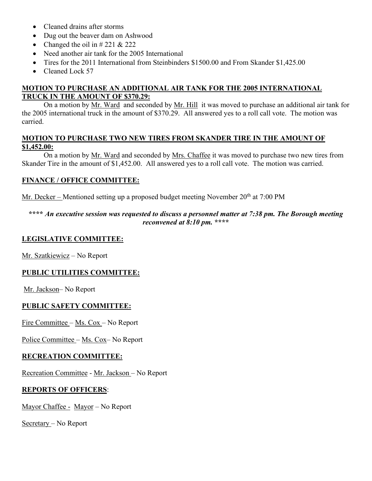- Cleaned drains after storms
- Dug out the beaver dam on Ashwood
- Changed the oil in  $\#$  221 & 222
- Need another air tank for the 2005 International
- Tires for the 2011 International from Steinbinders \$1500.00 and From Skander \$1,425.00
- Cleaned Lock 57

# **MOTION TO PURCHASE AN ADDITIONAL AIR TANK FOR THE 2005 INTERNATIONAL TRUCK IN THE AMOUNT OF \$370.29:**

On a motion by Mr. Ward and seconded by Mr. Hill it was moved to purchase an additional air tank for the 2005 international truck in the amount of \$370.29. All answered yes to a roll call vote. The motion was carried.

#### **MOTION TO PURCHASE TWO NEW TIRES FROM SKANDER TIRE IN THE AMOUNT OF \$1,452.00:**

On a motion by Mr. Ward and seconded by Mrs. Chaffee it was moved to purchase two new tires from Skander Tire in the amount of \$1,452.00. All answered yes to a roll call vote. The motion was carried.

# **FINANCE / OFFICE COMMITTEE:**

Mr. Decker – Mentioned setting up a proposed budget meeting November  $20<sup>th</sup>$  at 7:00 PM

#### **\*\*\*\*** *An executive session was requested to discuss a personnel matter at 7:38 pm. The Borough meeting reconvened at 8:10 pm.* **\*\*\*\***

# **LEGISLATIVE COMMITTEE:**

Mr. Szatkiewicz – No Report

## **PUBLIC UTILITIES COMMITTEE:**

Mr. Jackson– No Report

# **PUBLIC SAFETY COMMITTEE:**

Fire Committee – Ms. Cox – No Report

Police Committee – Ms. Cox– No Report

## **RECREATION COMMITTEE:**

Recreation Committee - Mr. Jackson – No Report

## **REPORTS OF OFFICERS**:

Mayor Chaffee - Mayor – No Report

Secretary – No Report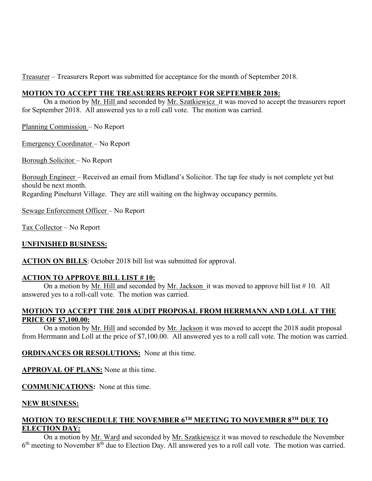Treasurer – Treasurers Report was submitted for acceptance for the month of September 2018.

#### **MOTION TO ACCEPT THE TREASURERS REPORT FOR SEPTEMBER 2018:**

On a motion by Mr. Hill and seconded by Mr. Szatkiewicz it was moved to accept the treasurers report for September 2018. All answered yes to a roll call vote. The motion was carried.

Planning Commission – No Report

Emergency Coordinator – No Report

Borough Solicitor – No Report

Borough Engineer – Received an email from Midland's Solicitor. The tap fee study is not complete yet but should be next month. Regarding Pinehurst Village. They are still waiting on the highway occupancy permits.

Sewage Enforcement Officer – No Report

Tax Collector – No Report

## **UNFINISHED BUSINESS:**

**ACTION ON BILLS**: October 2018 bill list was submitted for approval.

## **ACTION TO APPROVE BILL LIST # 10:**

On a motion by Mr. Hill and seconded by Mr. Jackson it was moved to approve bill list # 10. All answered yes to a roll-call vote. The motion was carried.

## **MOTION TO ACCEPT THE 2018 AUDIT PROPOSAL FROM HERRMANN AND LOLL AT THE PRICE OF \$7,100.00:**

On a motion by Mr. Hill and seconded by Mr. Jackson it was moved to accept the 2018 audit proposal from Herrmann and Loll at the price of \$7,100.00. All answered yes to a roll call vote. The motion was carried.

**ORDINANCES OR RESOLUTIONS:** None at this time.

**APPROVAL OF PLANS:** None at this time.

**COMMUNICATIONS:** None at this time.

#### **NEW BUSINESS:**

# **MOTION TO RESCHEDULE THE NOVEMBER 6TH MEETING TO NOVEMBER 8TH DUE TO ELECTION DAY:**

On a motion by Mr. Ward and seconded by Mr. Szatkiewicz it was moved to reschedule the November  $6<sup>th</sup>$  meeting to November  $8<sup>th</sup>$  due to Election Day. All answered yes to a roll call vote. The motion was carried.